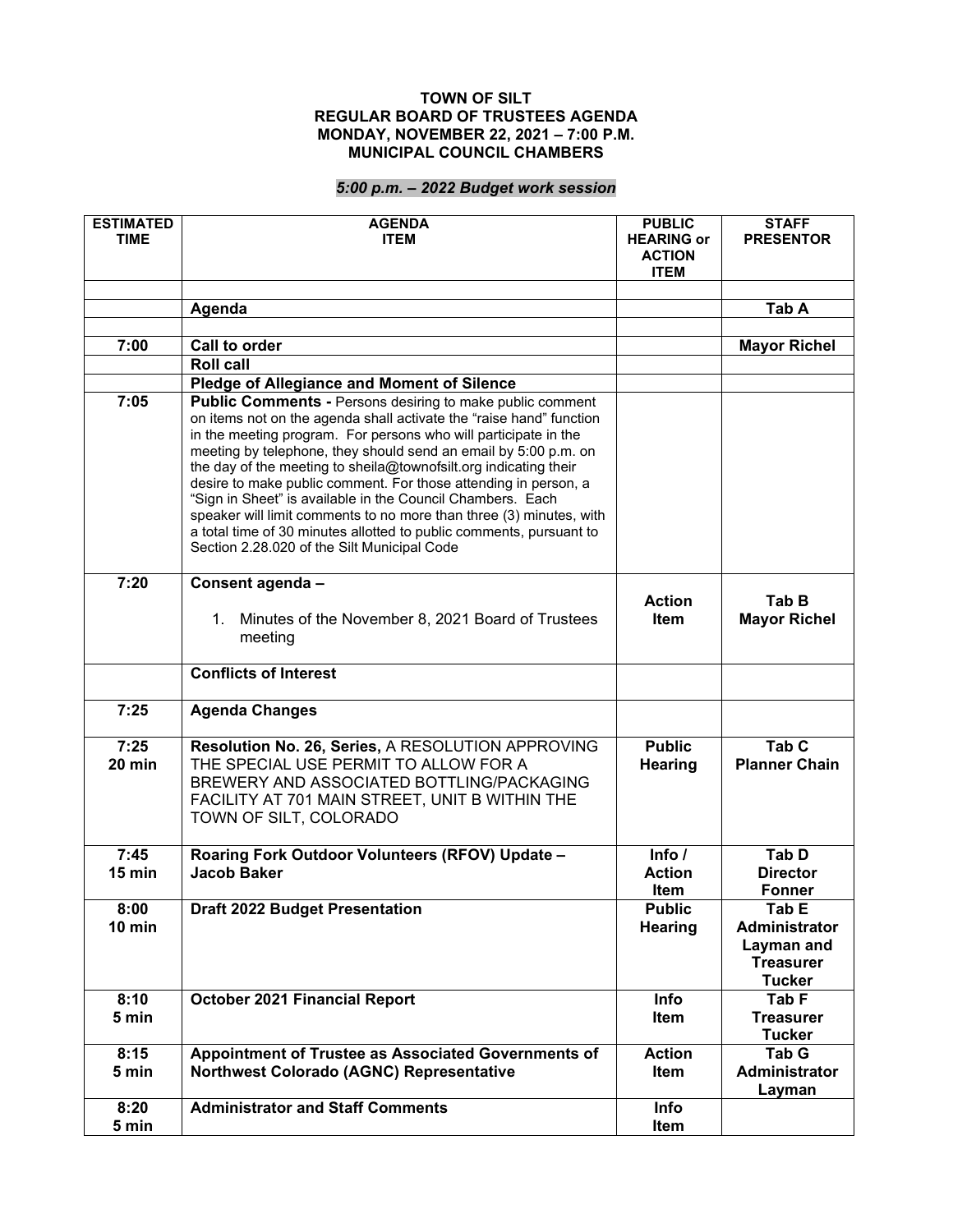## **TOWN OF SILT REGULAR BOARD OF TRUSTEES AGENDA MONDAY, NOVEMBER 22, 2021 – 7:00 P.M. MUNICIPAL COUNCIL CHAMBERS**

## *5:00 p.m. – 2022 Budget work session*

| <b>ESTIMATED</b><br><b>TIME</b> | <b>AGENDA</b><br><b>ITEM</b>                                                                                                                                                                                                                                                                                                                                                                                                                                                                                                                                                                                                                                                    | <b>PUBLIC</b><br><b>HEARING or</b><br><b>ACTION</b><br><b>ITEM</b> | <b>STAFF</b><br><b>PRESENTOR</b>                                                 |
|---------------------------------|---------------------------------------------------------------------------------------------------------------------------------------------------------------------------------------------------------------------------------------------------------------------------------------------------------------------------------------------------------------------------------------------------------------------------------------------------------------------------------------------------------------------------------------------------------------------------------------------------------------------------------------------------------------------------------|--------------------------------------------------------------------|----------------------------------------------------------------------------------|
|                                 | Agenda                                                                                                                                                                                                                                                                                                                                                                                                                                                                                                                                                                                                                                                                          |                                                                    | Tab A                                                                            |
|                                 |                                                                                                                                                                                                                                                                                                                                                                                                                                                                                                                                                                                                                                                                                 |                                                                    |                                                                                  |
| 7:00                            | Call to order                                                                                                                                                                                                                                                                                                                                                                                                                                                                                                                                                                                                                                                                   |                                                                    | <b>Mayor Richel</b>                                                              |
|                                 | <b>Roll call</b>                                                                                                                                                                                                                                                                                                                                                                                                                                                                                                                                                                                                                                                                |                                                                    |                                                                                  |
|                                 | Pledge of Allegiance and Moment of Silence                                                                                                                                                                                                                                                                                                                                                                                                                                                                                                                                                                                                                                      |                                                                    |                                                                                  |
| 7:05                            | <b>Public Comments - Persons desiring to make public comment</b><br>on items not on the agenda shall activate the "raise hand" function<br>in the meeting program. For persons who will participate in the<br>meeting by telephone, they should send an email by 5:00 p.m. on<br>the day of the meeting to sheila@townofsilt.org indicating their<br>desire to make public comment. For those attending in person, a<br>"Sign in Sheet" is available in the Council Chambers. Each<br>speaker will limit comments to no more than three (3) minutes, with<br>a total time of 30 minutes allotted to public comments, pursuant to<br>Section 2.28.020 of the Silt Municipal Code |                                                                    |                                                                                  |
| 7:20                            | Consent agenda -<br>1. Minutes of the November 8, 2021 Board of Trustees<br>meeting                                                                                                                                                                                                                                                                                                                                                                                                                                                                                                                                                                                             | <b>Action</b><br>ltem                                              | Tab B<br><b>Mayor Richel</b>                                                     |
|                                 | <b>Conflicts of Interest</b>                                                                                                                                                                                                                                                                                                                                                                                                                                                                                                                                                                                                                                                    |                                                                    |                                                                                  |
| 7:25                            | <b>Agenda Changes</b>                                                                                                                                                                                                                                                                                                                                                                                                                                                                                                                                                                                                                                                           |                                                                    |                                                                                  |
| 7:25<br>$20$ min                | Resolution No. 26, Series, A RESOLUTION APPROVING<br>THE SPECIAL USE PERMIT TO ALLOW FOR A<br>BREWERY AND ASSOCIATED BOTTLING/PACKAGING<br>FACILITY AT 701 MAIN STREET, UNIT B WITHIN THE<br>TOWN OF SILT, COLORADO                                                                                                                                                                                                                                                                                                                                                                                                                                                             | <b>Public</b><br>Hearing                                           | Tab <sub>C</sub><br><b>Planner Chain</b>                                         |
| 7:45<br>$15$ min                | Roaring Fork Outdoor Volunteers (RFOV) Update -<br><b>Jacob Baker</b>                                                                                                                                                                                                                                                                                                                                                                                                                                                                                                                                                                                                           | Info $/$<br><b>Action</b><br>Item                                  | Tab D<br><b>Director</b><br>Fonner                                               |
| 8:00<br>$10 \text{ min}$        | <b>Draft 2022 Budget Presentation</b>                                                                                                                                                                                                                                                                                                                                                                                                                                                                                                                                                                                                                                           | <b>Public</b><br><b>Hearing</b>                                    | Tab E<br><b>Administrator</b><br>Layman and<br><b>Treasurer</b><br><b>Tucker</b> |
| 8:10<br>5 min                   | <b>October 2021 Financial Report</b>                                                                                                                                                                                                                                                                                                                                                                                                                                                                                                                                                                                                                                            | <b>Info</b><br>Item                                                | Tab F<br><b>Treasurer</b><br><b>Tucker</b>                                       |
| 8:15                            | Appointment of Trustee as Associated Governments of                                                                                                                                                                                                                                                                                                                                                                                                                                                                                                                                                                                                                             | <b>Action</b>                                                      | Tab G                                                                            |
| 5 min                           | <b>Northwest Colorado (AGNC) Representative</b>                                                                                                                                                                                                                                                                                                                                                                                                                                                                                                                                                                                                                                 | Item                                                               | <b>Administrator</b><br>Layman                                                   |
| 8:20                            | <b>Administrator and Staff Comments</b>                                                                                                                                                                                                                                                                                                                                                                                                                                                                                                                                                                                                                                         | Info                                                               |                                                                                  |
| 5 min                           |                                                                                                                                                                                                                                                                                                                                                                                                                                                                                                                                                                                                                                                                                 | Item                                                               |                                                                                  |